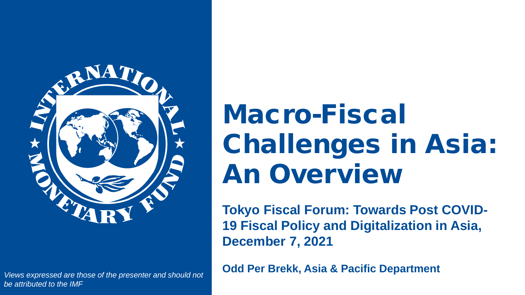

*be attributed to the IMF*

# Macro-Fiscal Challenges in Asia: An Overview

**Tokyo Fiscal Forum: Towards Post COVID-19 Fiscal Policy and Digitalization in Asia, December 7, 2021**

**Odd Per Brekk, Asia & Pacific Department** *Views expressed are those of the presenter and should not*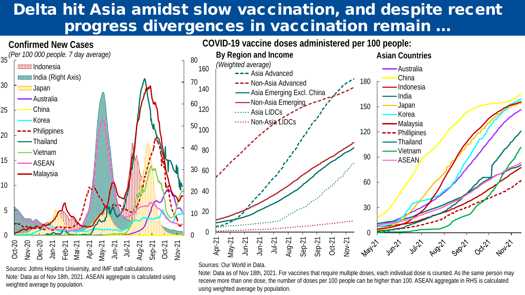### Delta hit Asia amidst slow vaccination, and despite recent progress divergences in vaccination remain …



Sources: Johns Hopkins University, and IMF staff calculations. Note: Data as of Nov 18th, 2021. ASEAN aggregate is calculated using weighted average by population.

Sources: Our World in Data.

Note: Data as of Nov 18th, 2021. For vaccines that require multiple doses, each individual dose is counted. As the same person may receive more than one dose, the number of doses per 100 people can be higher than 100. ASEAN aggregate in RHS is calculated using weighted average by population.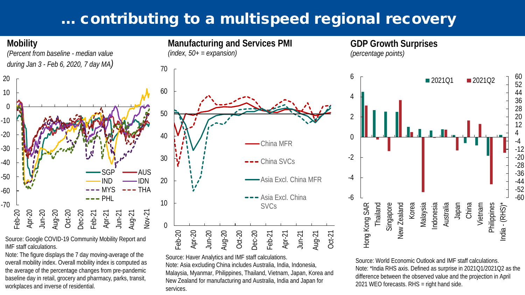#### ... contributing to a multispeed regional recovery



Source: Google COVID-19 Community Mobility Report and<br>IMF staff calculations. IMF staff calculations.

Note: The figure displays the 7 day moving-average of the overall mobility index. Overall mobility index is computed as the average of the percentage changes from pre-pandemic baseline day in retail, grocery and pharmacy, parks, transit, workplaces and inverse of residential.

Source: Haver Analytics and IMF staff calculations. Note: Asia excluding China includes Australia, India, Indonesia, Malaysia, Myanmar, Philippines, Thailand, Vietnam, Japan, Korea and New Zealand for manufacturing and Australia, India and Japan for services.

Source: World Economic Outlook and IMF staff calculations. Note: \*India RHS axis. Defined as surprise in 2021Q1/2021Q2 as the difference between the observed value and the projection in April 2021 WEO forecasts. RHS = right hand side.

-60 -52 -44 -36 -28 -20 -12 -4 4 12 20 28 36 44 52 60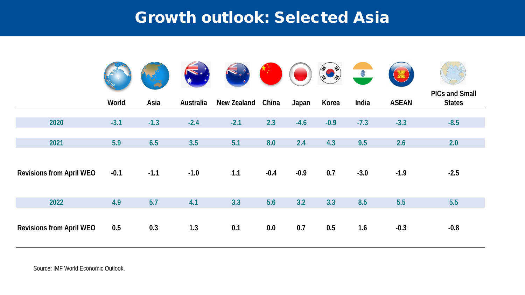### Growth outlook: Selected Asia

|                                 |        |        |           |                    |        |        | $\bullet^{\text{th}}_n$<br>$\mathscr{W}$ | 0      |              |                                        |
|---------------------------------|--------|--------|-----------|--------------------|--------|--------|------------------------------------------|--------|--------------|----------------------------------------|
|                                 | World  | Asia   | Australia | <b>New Zealand</b> | China  | Japan  | Korea                                    | India  | <b>ASEAN</b> | <b>PICs and Small</b><br><b>States</b> |
| 2020                            | $-3.1$ | $-1.3$ | $-2.4$    | $-2.1$             | 2.3    | $-4.6$ | $-0.9$                                   | $-7.3$ | $-3.3$       | $-8.5$                                 |
| 2021                            | 5.9    | 6.5    | 3.5       | 5.1                | 8.0    | 2.4    | 4.3                                      | 9.5    | 2.6          | 2.0                                    |
| <b>Revisions from April WEO</b> | $-0.1$ | $-1.1$ | $-1.0$    | 1.1                | $-0.4$ | $-0.9$ | 0.7                                      | $-3.0$ | $-1.9$       | $-2.5$                                 |
| 2022                            | 4.9    | 5.7    | 4.1       | 3.3                | 5.6    | 3.2    | 3.3                                      | 8.5    | 5.5          | 5.5                                    |
| <b>Revisions from April WEO</b> | 0.5    | 0.3    | 1.3       | 0.1                | 0.0    | 0.7    | 0.5                                      | 1.6    | $-0.3$       | $-0.8$                                 |

Source: IMF World Economic Outlook.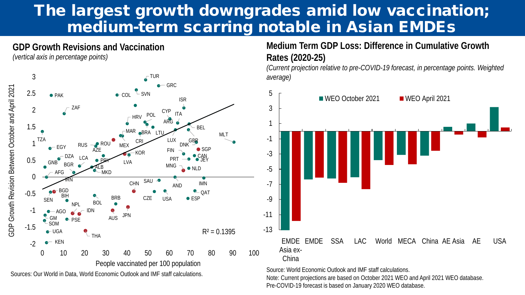### The largest growth downgrades amid low vaccination; medium-term scarring notable in Asian EMDEs



**Medium Term GDP Loss: Difference in Cumulative Growth Rates (2020-25)**

*(Current projection relative to pre-COVID-19 forecast, in percentage points. Weighted average)*



Source: World Economic Outlook and IMF staff calculations.

Note: Current projections are based on October 2021 WEO and April 2021 WEO database. Pre-COVID-19 forecast is based on January 2020 WEO database.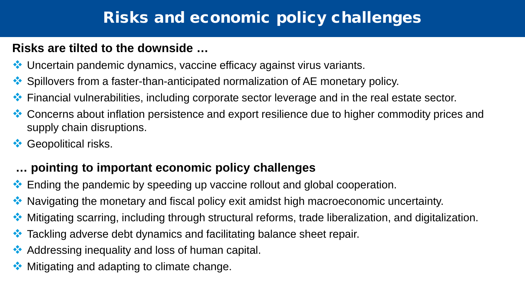### Risks and economic policy challenges

#### **Risks are tilted to the downside …**

- Uncertain pandemic dynamics, vaccine efficacy against virus variants.
- ◆ Spillovers from a faster-than-anticipated normalization of AE monetary policy.
- ◆ Financial vulnerabilities, including corporate sector leverage and in the real estate sector.
- \*\* Concerns about inflation persistence and export resilience due to higher commodity prices and supply chain disruptions.
- **❖** Geopolitical risks.

#### **… pointing to important economic policy challenges**

- Ending the pandemic by speeding up vaccine rollout and global cooperation.
- ◆ Navigating the monetary and fiscal policy exit amidst high macroeconomic uncertainty.
- $\cdot\cdot\cdot$  Mitigating scarring, including through structural reforms, trade liberalization, and digitalization.
- ◆ Tackling adverse debt dynamics and facilitating balance sheet repair.
- ◆ Addressing inequality and loss of human capital.
- **◆ Mitigating and adapting to climate change.**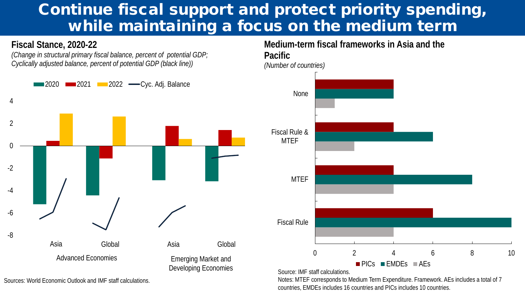#### Continue fiscal support and protect priority spending, while maintaining a focus on the medium term

#### **Fiscal Stance, 2020-22**

*(Change in structural primary fiscal balance, percent of potential GDP; Cyclically adjusted balance, percent of potential GDP (black line))*



Sources: World Economic Outlook and IMF staff calculations.

Advanced Economies <sup>0</sup> <sup>2</sup> <sup>4</sup> <sup>6</sup> <sup>8</sup> <sup>10</sup> Fiscal Rule MTEF Fiscal Rule & MTEF None **Medium-term fiscal frameworks in Asia and the Pacific** *(Number of countries)*  $\blacksquare$  PICs  $\blacksquare$  EMDEs  $\blacksquare$  AEs

Source: IMF staff calculations.

Notes: MTEF corresponds to Medium Term Expenditure. Framework. AEs includes a total of 7 countries, EMDEs includes 16 countries and PICs includes 10 countries.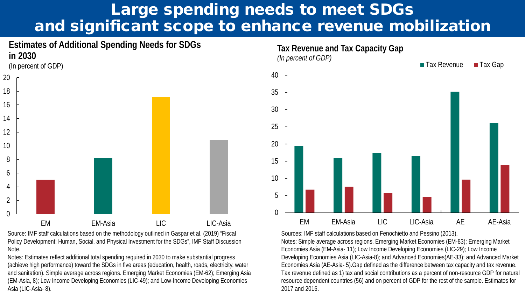#### Large spending needs to meet SDGs and significant scope to enhance revenue mobilization



Source: IMF staff calculations based on the methodology outlined in Gaspar et al. (2019) "Fiscal Policy Development: Human, Social, and Physical Investment for the SDGs", IMF Staff Discussion Note.

Notes: Estimates reflect additional total spending required in 2030 to make substantial progress (achieve high performance) toward the SDGs in five areas (education, health, roads, electricity, water and sanitation). Simple average across regions. Emerging Market Economies (EM-62); Emerging Asia (EM-Asia, 8); Low Income Developing Economies (LIC-49); and Low-Income Developing Economies Asia (LIC-Asia- 8).



Sources: IMF staff calculations based on Fenochietto and Pessino (2013). Notes: Simple average across regions. Emerging Market Economies (EM-83); Emerging Market Economies Asia (EM-Asia- 11); Low Income Developing Economies (LIC-29); Low Income Developing Economies Asia (LIC-Asia-8); and Advanced Economies(AE-33); and Advanced Market Economies Asia (AE-Asia- 5).Gap defined as the difference between tax capacity and tax revenue. Tax revenue defined as 1) tax and social contributions as a percent of non-resource GDP for natural resource dependent countries (56) and on percent of GDP for the rest of the sample. Estimates for 2017 and 2016.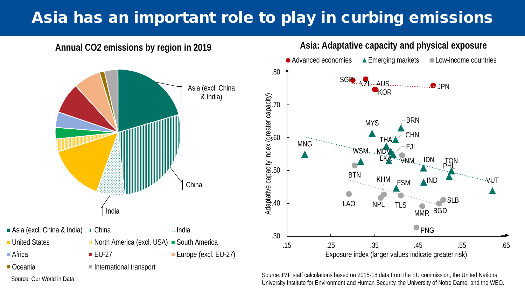### Asia has an important role to play in curbing emissions



Source: IMF staff calculations based on 2015-18 data from the EU commission, the United Nations Source: Our World in Data.<br>University Institute for Environment and Human Security, the University of Notre Dame, and the WEO.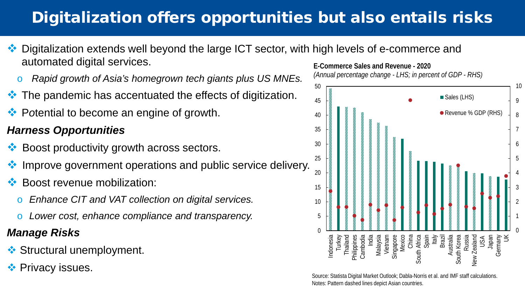### Digitalization offers opportunities but also entails risks

- ◆ Digitalization extends well beyond the large ICT sector, with high levels of e-commerce and automated digital services. **E-Commerce Sales and Revenue - 2020**
	- Rapid growth of Asia's homegrown tech giants plus US MNEs.
- The pandemic has accentuated the effects of digitization.
- P*o*tential to become an engine of growth.

#### *Harness Opportunities*

- **Boost productivity growth across sectors.**
- Improve government operations and public service delivery.
- Boost revenue mobilization:
	- o *Enhance CIT and VAT collection on digital services.*
	- Lower cost, enhance compliance and transparency.

#### *Manage Risks*

- **❖ Structural unemployment.**
- **<sup>◆</sup>** Privacy issues.

*(Annual percentage change - LHS; in percent of GDP - RHS)*



Source: Statista Digital Market Outlook; Dabla-Norris et al. and IMF staff calculations. Notes: Pattern dashed lines depict Asian countries.